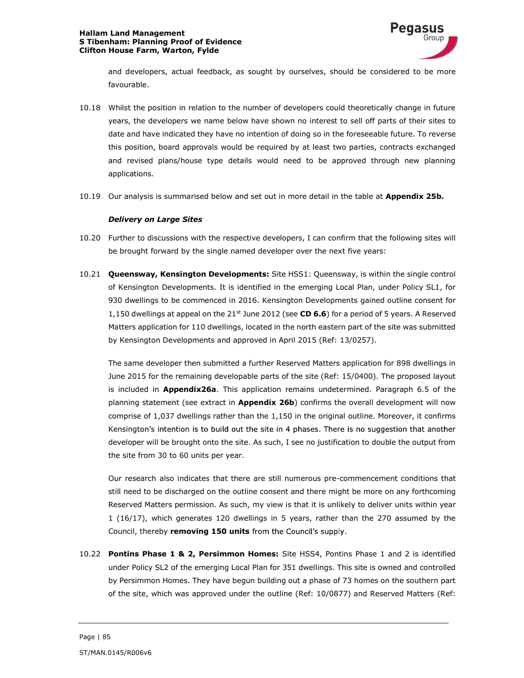### Hallam Land Management S Tibenham: Planning Proof of Evidence Clifton House Farm, Warton, Fylde



and developers, actual feedback, as sought by ourselves, should be considered to be more favourable.

- 10.18 Whilst the position in relation to the number of developers could theoretically change in future years, the developers we name below have shown no interest to sell off parts of their sites to date and have indicated they have no intention of doing so in the foreseeable future. To reverse this position, board approvals would be required by at least two parties, contracts exchanged and revised plans/house type details would need to be approved through new planning applications.
- 10.19 Our analysis is summarised below and set out in more detail in the table at Appendix 25b.

## Delivery on Large Sites

- 10.20 Further to discussions with the respective developers, I can confirm that the following sites will be brought forward by the single named developer over the next five years:
- 10.21 **Queensway, Kensington Developments:** Site HSS1: Queensway, is within the single control of Kensington Developments. It is identified in the emerging Local Plan, under Policy SL1, for 930 dwellings to be commenced in 2016. Kensington Developments gained outline consent for 1,150 dwellings at appeal on the  $21^{st}$  June 2012 (see CD 6.6) for a period of 5 years. A Reserved Matters application for 110 dwellings, located in the north eastern part of the site was submitted by Kensington Developments and approved in April 2015 (Ref: 13/0257).

The same developer then submitted a further Reserved Matters application for 898 dwellings in June 2015 for the remaining developable parts of the site (Ref: 15/0400). The proposed layout is included in **Appendix26a**. This application remains undetermined. Paragraph 6.5 of the planning statement (see extract in Appendix 26b) confirms the overall development will now comprise of 1,037 dwellings rather than the 1,150 in the original outline. Moreover, it confirms Kensington's intention is to build out the site in 4 phases. There is no suggestion that another developer will be brought onto the site. As such, I see no justification to double the output from the site from 30 to 60 units per year.

Our research also indicates that there are still numerous pre-commencement conditions that still need to be discharged on the outline consent and there might be more on any forthcoming Reserved Matters permission. As such, my view is that it is unlikely to deliver units within year 1 (16/17), which generates 120 dwellings in 5 years, rather than the 270 assumed by the Council, thereby **removing 150 units** from the Council's supply.<br>10.22 **Pontins Phase 1 & 2, Persimmon Homes:** Site HSS4, Pontins Phase 1 and 2 is identified

under Policy SL2 of the emerging Local Plan for 351 dwellings. This site is owned and controlled by Persimmon Homes. They have begun building out a phase of 73 homes on the southern part of the site, which was approved under the outline (Ref: 10/0877) and Reserved Matters (Ref: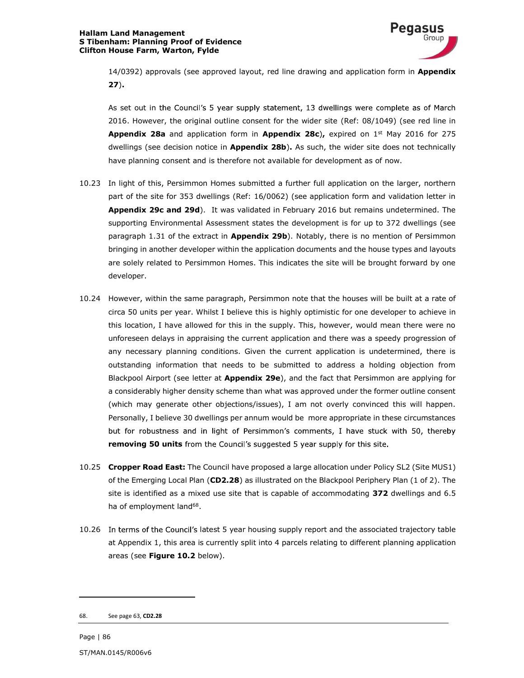

14/0392) approvals (see approved layout, red line drawing and application form in **Appendix** 27).<br>As set out in the Council's 5 year supply statement, 13 dwellings were complete as of March

2016. However, the original outline consent for the wider site (Ref: 08/1049) (see red line in Appendix 28a and application form in Appendix 28c), expired on  $1<sup>st</sup>$  May 2016 for 275 dwellings (see decision notice in **Appendix 28b).** As such, the wider site does not technically have planning consent and is therefore not available for development as of now.

- 10.23 In light of this, Persimmon Homes submitted a further full application on the larger, northern part of the site for 353 dwellings (Ref: 16/0062) (see application form and validation letter in Appendix 29c and 29d). It was validated in February 2016 but remains undetermined. The supporting Environmental Assessment states the development is for up to 372 dwellings (see paragraph 1.31 of the extract in Appendix 29b). Notably, there is no mention of Persimmon bringing in another developer within the application documents and the house types and layouts are solely related to Persimmon Homes. This indicates the site will be brought forward by one developer.
- 10.24 However, within the same paragraph, Persimmon note that the houses will be built at a rate of circa 50 units per year. Whilst I believe this is highly optimistic for one developer to achieve in this location, I have allowed for this in the supply. This, however, would mean there were no unforeseen delays in appraising the current application and there was a speedy progression of any necessary planning conditions. Given the current application is undetermined, there is outstanding information that needs to be submitted to address a holding objection from Blackpool Airport (see letter at Appendix 29e), and the fact that Persimmon are applying for a considerably higher density scheme than what was approved under the former outline consent (which may generate other objections/issues), I am not overly convinced this will happen. Personally, I believe 30 dwellings per annum would be more appropriate in these circumstances but for robustness and in light of Persimmon's comments, I have stuck with 50, thereby **removing 50 units** from the Council's suggested 5 year supply for this site.<br>10.25 **Cropper Road East:** The Council have proposed a large allocation under Policy SL2 (Site MUS1)
- of the Emerging Local Plan (CD2.28) as illustrated on the Blackpool Periphery Plan (1 of 2). The site is identified as a mixed use site that is capable of accommodating 372 dwellings and 6.5 ha of employment land<sup>68</sup>.
- 10.26 In terms of the Council's latest 5 year housing supply report and the associated trajectory table at Appendix 1, this area is currently split into 4 parcels relating to different planning application areas (see Figure 10.2 below).

 <sup>68.</sup> See page 63, CD2.28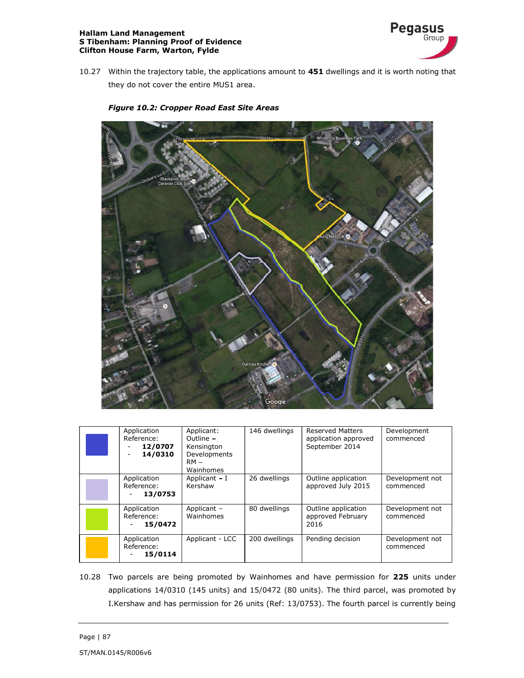### Hallam Land Management S Tibenham: Planning Proof of Evidence Clifton House Farm, Warton, Fylde



- 10.27 Within the trajectory table, the applications amount to 451 dwellings and it is worth noting that they do not cover the entire MUS1 area.
	- Google
- Figure 10.2: Cropper Road East Site Areas

| Application<br>Reference:<br>12/0707<br>14/0310<br>$\overline{\phantom{0}}$ | Applicant:<br>Outline -<br>Kensington<br>Developments<br>$RM -$<br>Wainhomes | 146 dwellings | <b>Reserved Matters</b><br>application approved<br>September 2014 | Development<br>commenced     |
|-----------------------------------------------------------------------------|------------------------------------------------------------------------------|---------------|-------------------------------------------------------------------|------------------------------|
| Application<br>Reference:<br>13/0753<br>$\overline{\phantom{a}}$            | Applicant - I<br>Kershaw                                                     | 26 dwellings  | Outline application<br>approved July 2015                         | Development not<br>commenced |
| Application<br>Reference:<br>15/0472<br>$\overline{\phantom{a}}$            | Applicant -<br>Wainhomes                                                     | 80 dwellings  | Outline application<br>approved February<br>2016                  | Development not<br>commenced |
| Application<br>Reference:<br>15/0114<br>$\overline{\phantom{a}}$            | Applicant - LCC                                                              | 200 dwellings | Pending decision                                                  | Development not<br>commenced |

10.28 Two parcels are being promoted by Wainhomes and have permission for 225 units under applications 14/0310 (145 units) and 15/0472 (80 units). The third parcel, was promoted by I.Kershaw and has permission for 26 units (Ref: 13/0753). The fourth parcel is currently being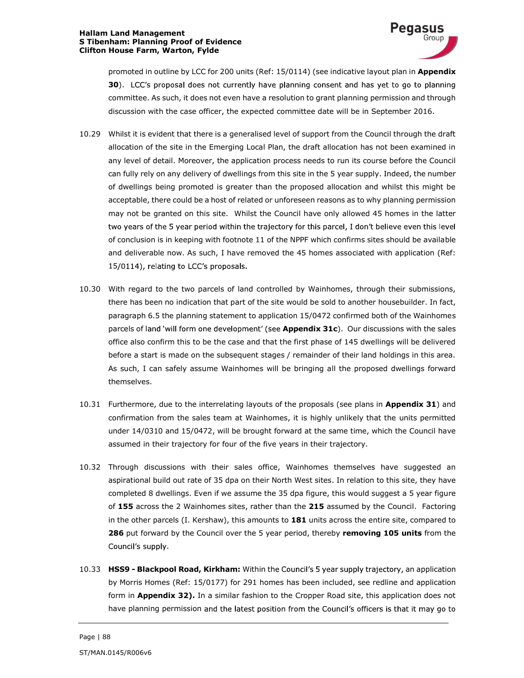

promoted in outline by LCC for 200 units (Ref: 15/0114) (see indicative layout plan in Appendix 30). LCC's proposal does not currently have planning consent and has yet to go to planning committee. As such, it does not even have a resolution to grant planning permission and through discussion with the case officer, the expected committee date will be in September 2016.

- 10.29 Whilst it is evident that there is a generalised level of support from the Council through the draft allocation of the site in the Emerging Local Plan, the draft allocation has not been examined in any level of detail. Moreover, the application process needs to run its course before the Council can fully rely on any delivery of dwellings from this site in the 5 year supply. Indeed, the number of dwellings being promoted is greater than the proposed allocation and whilst this might be acceptable, there could be a host of related or unforeseen reasons as to why planning permission may not be granted on this site. Whilst the Council have only allowed 45 homes in the latter two years of the 5 year period within the trajectory for this parcel, I don't believe even this level of conclusion is in keeping with footnote 11 of the NPPF which confirms sites should be available and deliverable now. As such, I have removed the 45 homes associated with application (Ref: 15/0114), relating to LCC's proposals.
- 10.30 With regard to the two parcels of land controlled by Wainhomes, through their submissions, there has been no indication that part of the site would be sold to another housebuilder. In fact, paragraph 6.5 the planning statement to application 15/0472 confirmed both of the Wainhomes parcels of land 'will form one development' (see Appendix 31c). Our discussions with the sales office also confirm this to be the case and that the first phase of 145 dwellings will be delivered before a start is made on the subsequent stages / remainder of their land holdings in this area. As such, I can safely assume Wainhomes will be bringing all the proposed dwellings forward themselves.
- 10.31 Furthermore, due to the interrelating layouts of the proposals (see plans in Appendix 31) and confirmation from the sales team at Wainhomes, it is highly unlikely that the units permitted under 14/0310 and 15/0472, will be brought forward at the same time, which the Council have assumed in their trajectory for four of the five years in their trajectory.
- 10.32 Through discussions with their sales office, Wainhomes themselves have suggested an aspirational build out rate of 35 dpa on their North West sites. In relation to this site, they have completed 8 dwellings. Even if we assume the 35 dpa figure, this would suggest a 5 year figure of 155 across the 2 Wainhomes sites, rather than the 215 assumed by the Council. Factoring in the other parcels (I. Kershaw), this amounts to 181 units across the entire site, compared to 286 put forward by the Council over the 5 year period, thereby removing 105 units from the<br>Council's supply.<br>10.33 HSS9 - Blackpool Road, Kirkham: Within the Council's 5 year supply trajectory, an application
- by Morris Homes (Ref: 15/0177) for 291 homes has been included, see redline and application form in **Appendix 32).** In a similar fashion to the Cropper Road site, this application does not have planning permission and the latest position from the Council's officers is that it may go to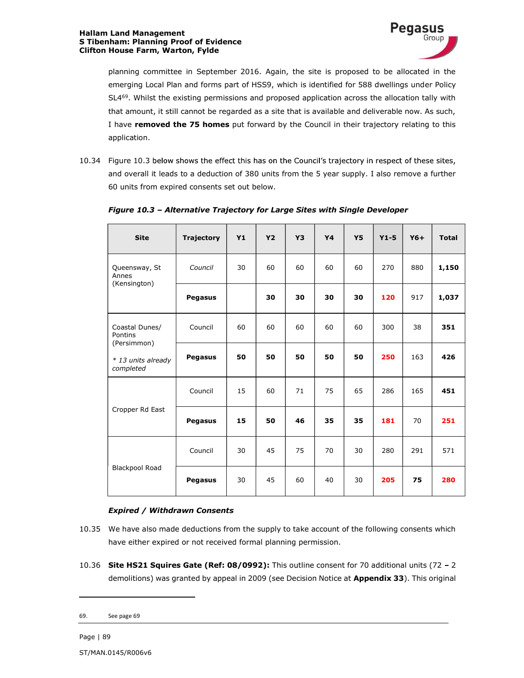

planning committee in September 2016. Again, the site is proposed to be allocated in the emerging Local Plan and forms part of HSS9, which is identified for 588 dwellings under Policy SL4<sup>69</sup>. Whilst the existing permissions and proposed application across the allocation tally with that amount, it still cannot be regarded as a site that is available and deliverable now. As such, I have removed the 75 homes put forward by the Council in their trajectory relating to this application.

10.34 Figure 10.3 below shows the effect this has on the Council's trajectory in respect of these sites, and overall it leads to a deduction of 380 units from the 5 year supply. I also remove a further 60 units from expired consents set out below.

| <b>Site</b>                              | <b>Trajectory</b> | <b>Y1</b> | <b>Y2</b> | Y3 | <b>Y4</b> | <b>Y5</b> | $Y1-5$ | $Y6+$ | <b>Total</b> |
|------------------------------------------|-------------------|-----------|-----------|----|-----------|-----------|--------|-------|--------------|
| Queensway, St<br>Annes<br>(Kensington)   | Council           | 30        | 60        | 60 | 60        | 60        | 270    | 880   | 1,150        |
|                                          | Pegasus           |           | 30        | 30 | 30        | 30        | 120    | 917   | 1,037        |
| Coastal Dunes/<br>Pontins<br>(Persimmon) | Council           | 60        | 60        | 60 | 60        | 60        | 300    | 38    | 351          |
| * 13 units already<br>completed          | Pegasus           | 50        | 50        | 50 | 50        | 50        | 250    | 163   | 426          |
|                                          | Council           | 15        | 60        | 71 | 75        | 65        | 286    | 165   | 451          |
| Cropper Rd East                          | Pegasus           | 15        | 50        | 46 | 35        | 35        | 181    | 70    | 251          |
| <b>Blackpool Road</b>                    | Council           | 30        | 45        | 75 | 70        | 30        | 280    | 291   | 571          |
|                                          | Pegasus           | 30        | 45        | 60 | 40        | 30        | 205    | 75    | 280          |

# Figure 10.3 - Alternative Trajectory for Large Sites with Single Developer

## Expired / Withdrawn Consents

- 10.35 We have also made deductions from the supply to take account of the following consents which have either expired or not received formal planning permission.
- 10.36 Site HS21 Squires Gate (Ref: 08/0992): This outline consent for 70 additional units (72 2 demolitions) was granted by appeal in 2009 (see Decision Notice at Appendix 33). This original

 <sup>69.</sup> See page 69